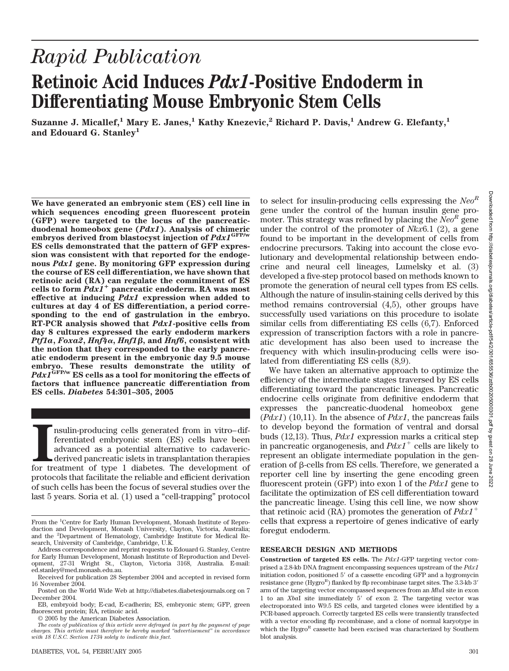# *Rapid Publication* **Retinoic Acid Induces** *Pdx1***-Positive Endoderm in Differentiating Mouse Embryonic Stem Cells**

**Suzanne J. Micallef,<sup>1</sup> Mary E. Janes,<sup>1</sup> Kathy Knezevic,<sup>2</sup> Richard P. Davis,<sup>1</sup> Andrew G. Elefanty,<sup>1</sup> and Edouard G. Stanley1**

**We have generated an embryonic stem (ES) cell line in which sequences encoding green fluorescent protein (GFP) were targeted to the locus of the pancreaticduodenal homeobox gene (***Pdx1***). Analysis of chimeric embryos derived from blastocyst injection of** *Pdx1***GFP/w ES cells demonstrated that the pattern of GFP expression was consistent with that reported for the endogenous** *Pdx1* **gene. By monitoring GFP expression during the course of ES cell differentiation, we have shown that retinoic acid (RA) can regulate the commitment of ES cells to form** *Pdx1* **pancreatic endoderm. RA was most effective at inducing** *Pdx1* **expression when added to cultures at day 4 of ES differentiation, a period corresponding to the end of gastrulation in the embryo. RT-PCR analysis showed that** *Pdx1***-positive cells from day 8 cultures expressed the early endoderm markers** *Ptf1a***,** *Foxa2***,** *Hnf4*-**,** *Hnf1***, and** *Hnf6***, consistent with the notion that they corresponded to the early pancreatic endoderm present in the embryonic day 9.5 mouse embryo. These results demonstrate the utility of** *Pdx1***GFP/w ES cells as a tool for monitoring the effects of factors that influence pancreatic differentiation from ES cells.** *Diabetes* **54:301–305, 2005**

Insulin-producing cells generated from in vitro–differentiated embryonic stem (ES) cells have been advanced as a potential alternative to cadavericdirived pancreatic islets in transplantation therapies for treatment of typ nsulin-producing cells generated from in vitro–differentiated embryonic stem (ES) cells have been advanced as a potential alternative to cadavericderived pancreatic islets in transplantation therapies protocols that facilitate the reliable and efficient derivation of such cells has been the focus of several studies over the last 5 years. Soria et al. (1) used a "cell-trapping" protocol

© 2005 by the American Diabetes Association.

*The costs of publication of this article were defrayed in part by the payment of page charges. This article must therefore be hereby marked "advertisement" in accordance with 18 U.S.C. Section 1734 solely to indicate this fact.*

to select for insulin-producing cells expressing the *NeoR* gene under the control of the human insulin gene promoter. This strategy was refined by placing the *NeoR* gene under the control of the promoter of *Nkx*6.1 (2), a gene found to be important in the development of cells from endocrine precursors. Taking into account the close evolutionary and developmental relationship between endocrine and neural cell lineages, Lumelsky et al. (3) developed a five-step protocol based on methods known to promote the generation of neural cell types from ES cells. Although the nature of insulin-staining cells derived by this method remains controversial (4,5), other groups have successfully used variations on this procedure to isolate similar cells from differentiating ES cells (6,7). Enforced expression of transcription factors with a role in pancreatic development has also been used to increase the frequency with which insulin-producing cells were isolated from differentiating ES cells (8,9).

We have taken an alternative approach to optimize the efficiency of the intermediate stages traversed by ES cells differentiating toward the pancreatic lineages. Pancreatic endocrine cells originate from definitive endoderm that expresses the pancreatic-duodenal homeobox gene (*Pdx1*) (10,11). In the absence of *Pdx1*, the pancreas fails to develop beyond the formation of ventral and dorsal buds (12,13). Thus, *Pdx1* expression marks a critical step in pancreatic organogenesis, and  $Pdx1$ <sup>+</sup> cells are likely to represent an obligate intermediate population in the generation of  $\beta$ -cells from ES cells. Therefore, we generated a reporter cell line by inserting the gene encoding green fluorescent protein (GFP) into exon 1 of the *Pdx1* gene to facilitate the optimization of ES cell differentiation toward the pancreatic lineage. Using this cell line, we now show that retinoic acid (RA) promotes the generation of *Pdx1* cells that express a repertoire of genes indicative of early foregut endoderm.

#### **RESEARCH DESIGN AND METHODS**

**Construction of targeted ES cells.** The *Pdx1*-GFP targeting vector comprised a 2.8-kb DNA fragment encompassing sequences upstream of the *Pdx1* initiation codon, positioned 5' of a cassette encoding GFP and a hygromycin resistance gene (Hygro<sup>R</sup>) flanked by flp recombinase target sites. The 3.3-kb 3' arm of the targeting vector encompassed sequences from an *Mlu*I site in exon 1 to an *XbaI* site immediately 5' of exon 2. The targeting vector was electroporated into W9.5 ES cells, and targeted clones were identified by a PCR-based approach. Correctly targeted ES cells were transiently transfected with a vector encoding flp recombinase, and a clone of normal karyotype in which the Hygro<sup>R</sup> cassette had been excised was characterized by Southern blot analysis.

From the <sup>1</sup>Centre for Early Human Development, Monash Institute of Reproduction and Development, Monash University, Clayton, Victoria, Australia; and the <sup>2</sup>Department of Hematology, Cambridge Institute for Medical Research, University of Cambridge, Cambridge, U.K.

Address correspondence and reprint requests to Edouard G. Stanley, Centre for Early Human Development, Monash Institute of Reproduction and Development, 27-31 Wright St., Clayton, Victoria 3168, Australia. E-mail: ed.stanley@med.monash.edu.au.

Received for publication 28 September 2004 and accepted in revised form 16 November 2004.

Posted on the World Wide Web at http://diabetes.diabetesjournals.org on 7 December 2004.

EB, embryoid body; E-cad, E-cadherin; ES, embryonic stem; GFP, green fluorescent protein; RA, retinoic acid.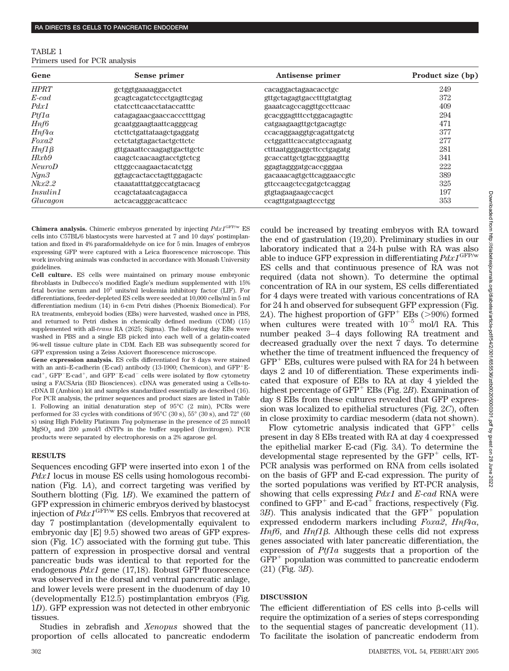| TABLE 1 |  |                               |
|---------|--|-------------------------------|
|         |  | Primers used for PCR analysis |

| Gene            | Sense primer                    | Antisense primer           | Product size (bp) |
|-----------------|---------------------------------|----------------------------|-------------------|
| <b>HPRT</b>     | gctggtgaaaaggacctct             | cacaggactagaacacctgc       | 249               |
| $E$ -cad        | gcagtcagatctccctgagttcgag       | gttgctagagtgacctttgtatgtag | 372               |
| Pdx1            | <i>ctatecttcaacctataccatttc</i> | gaaatcagccaggttgccttcaac   | 409               |
| Ptf1a           | catagagaacgaaccaccctttgag       | gcacggagtttcctggacagagttc  | 294               |
| Hnf6            | gcaatggaagtaattcagggcag         | catgaagaagttgctgacagtgc    | 471               |
| $Hnf4\alpha$    | ctcttctgattataagctgaggatg       | ccacaggaaggtgcagattgatctg  | 377               |
| Foxa2           | cetetatglagactactgettete        | cctggatttcaccatgtccagaatg  | 277               |
| $Hnf1\beta$     | gttgaaattccaagagtgacttgctc      | ctttaatgggaggcttcctgagatg  | 281               |
| Hlxb9           | caageteaacaagtacetgteteg        | gcaccattgctgtacgggaagttg   | 341               |
| <b>NeuroD</b>   | cttggccaagaactacatctgg          | ggagtagggatgcaccgggaa      | 222               |
| Nqn3            | ggtagcactacctagttggagactc       | gacaaacagtgcttcaggaaccgtc  | 389               |
| Nkx2.2          | ctaaatatttatggccatgtacacg       | gttccaagctccgatgctcaggag   | 325               |
| <i>Insulin1</i> | ccagctataatcagagacca            | gtgtagaagaagccacgct        | 197               |
| Glucagon        | actcacagggcacattcacc            | ccagttgatgaagtccctgg       | 353               |

**Chimera analysis.** Chimeric embryos generated by injecting *Pdx1*GFP/w ES cells into C57BL/6 blastocysts were harvested at 7 and 10 days' postimplantation and fixed in 4% paraformaldehyde on ice for 5 min. Images of embryos expressing GFP were captured with a Leica fluorescence microscope. This work involving animals was conducted in accordance with Monash University guidelines.

**Cell culture.** ES cells were maintained on primary mouse embryonic fibroblasts in Dulbecco's modified Eagle's medium supplemented with 15% fetal bovine serum and  $10^3$  units/ml leukemia inhibitory factor (LIF). For differentiations, feeder-depleted ES cells were seeded at 10,000 cells/ml in 5 ml differentiation medium (14) in 6-cm Petri dishes (Phoenix Biomedical). For RA treatments, embryoid bodies (EBs) were harvested, washed once in PBS, and returned to Petri dishes in chemically defined medium (CDM) (15) supplemented with all-*trans* RA (2625; Sigma). The following day EBs were washed in PBS and a single EB picked into each well of a gelatin-coated 96-well tissue culture plate in CDM. Each EB was subsequently scored for GFP expression using a Zeiss Axiovert fluorescence microscope.

**Gene expression analysis.** ES cells differentiated for 8 days were stained with an anti–E-cadherin (E-cad) antibody  $(13-1900)$ ; Chemicon), and GFP<sup>+</sup>E $cad^+$ , GFP<sup>-</sup>E-cad<sup>+</sup>, and GFP<sup>-</sup>E-cad<sup>-</sup> cells were isolated by flow cytometry using a FACSAria (BD Biosciences). cDNA was generated using a Cells-tocDNA II (Ambion) kit and samples standardized essentially as described (16). For PCR analysis, the primer sequences and product sizes are listed in Table 1. Following an initial denaturation step of 95°C (2 min), PCRs were performed for 33 cycles with conditions of 95°C (30 s), 55° (30 s), and 72° (60 s) using High Fidelity Platinum *Taq* polymerase in the presence of 25 mmol/l  $MgSO<sub>4</sub>$  and 200 µmol/l dNTPs in the buffer supplied (Invitrogen). PCR products were separated by electrophoresis on a 2% agarose gel.

### **RESULTS**

Sequences encoding GFP were inserted into exon 1 of the *Pdx1* locus in mouse ES cells using homologous recombination (Fig. 1*A*), and correct targeting was verified by Southern blotting (Fig. 1*B*). We examined the pattern of GFP expression in chimeric embryos derived by blastocyst injection of *Pdx1*GFP/w ES cells. Embryos that recovered at day 7 postimplantation (developmentally equivalent to embryonic day [E] 9.5) showed two areas of GFP expression (Fig. 1*C*) associated with the forming gut tube. This pattern of expression in prospective dorsal and ventral pancreatic buds was identical to that reported for the endogenous *Pdx1* gene (17,18). Robust GFP fluorescence was observed in the dorsal and ventral pancreatic anlage, and lower levels were present in the duodenum of day 10 (developmentally E12.5) postimplantation embryos (Fig. 1*D*). GFP expression was not detected in other embryonic tissues.

Studies in zebrafish and *Xenopus* showed that the proportion of cells allocated to pancreatic endoderm could be increased by treating embryos with RA toward the end of gastrulation (19,20). Preliminary studies in our laboratory indicated that a 24-h pulse with RA was also able to induce GFP expression in differentiating *Pdx1*GFP/w ES cells and that continuous presence of RA was not required (data not shown). To determine the optimal concentration of RA in our system, ES cells differentiated for 4 days were treated with various concentrations of RA for 24 h and observed for subsequent GFP expression (Fig. 2*A*). The highest proportion of  $GFP^+$  EBs ( $>90\%$ ) formed when cultures were treated with  $10^{-5}$  mol/l RA. This number peaked 3–4 days following RA treatment and decreased gradually over the next 7 days. To determine whether the time of treatment influenced the frequency of  $GFP<sup>+</sup> EBs, cultures were pulsed with RA for 24 h between$ days 2 and 10 of differentiation. These experiments indicated that exposure of EBs to RA at day 4 yielded the highest percentage of GFP<sup>+</sup> EBs (Fig. 2*B*). Examination of day 8 EBs from these cultures revealed that GFP expression was localized to epithelial structures (Fig. 2*C*), often in close proximity to cardiac mesoderm (data not shown).

Flow cytometric analysis indicated that  $GFP<sup>+</sup>$  cells present in day 8 EBs treated with RA at day 4 coexpressed the epithelial marker E-cad (Fig. 3*A*). To determine the developmental stage represented by the  $GFP<sup>+</sup>$  cells, RT-PCR analysis was performed on RNA from cells isolated on the basis of GFP and E-cad expression. The purity of the sorted populations was verified by RT-PCR analysis, showing that cells expressing *Pdx1* and *E-cad* RNA were confined to  $GFP^+$  and  $E\text{-}cad^+$  fractions, respectively (Fig.  $3B$ ). This analysis indicated that the  $GFP^+$  population expressed endoderm markers including *Foxa2*,  $Hnf4\alpha$ , *Hnf6*, and *Hnf1β*. Although these cells did not express genes associated with later pancreatic differentiation, the expression of *Ptf1a* suggests that a proportion of the  $GFP<sup>+</sup>$  population was committed to pancreatic endoderm (21) (Fig. 3*B*).

## **DISCUSSION**

The efficient differentiation of  $ES$  cells into  $\beta$ -cells will require the optimization of a series of steps corresponding to the sequential stages of pancreatic development (11). To facilitate the isolation of pancreatic endoderm from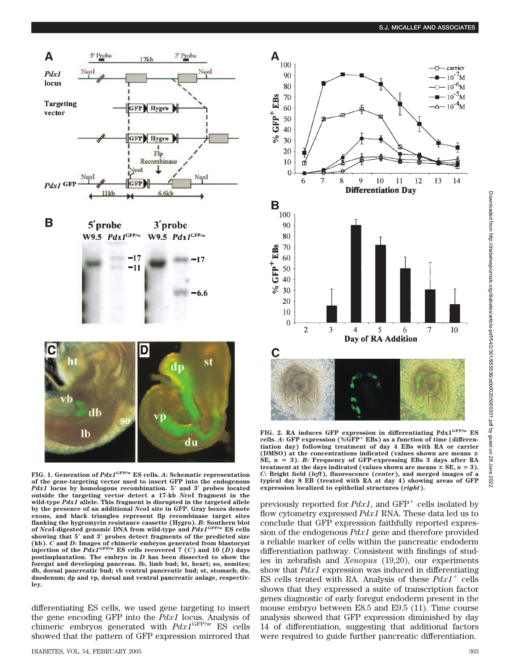

**FIG. 1. Generation of** *Pdx1***GFP/w ES cells.** *A***: Schematic representation** of the gene-targeting vector used to insert GFP into the endogenous *Pdx1* locus by homologous recombination. 5' and 3' probes located outside the targeting vector detect a 17-kb *NcoI* fragment in the **wild-type** *Pdx1* **allele. This fragment is disrupted in the targeted allele by the presence of an additional** *Nco***I site in GFP. Gray boxes denote exons, and black triangles represent flp recombinase target sites flanking the hygromycin resistance cassette (Hygro).** *B***: Southern blot of** *Nco***I-digested genomic DNA from wild-type and** *Pdx1***GFP/w ES cells showing that 5 and 3 probes detect fragments of the predicted size** (kb). C and D: Images of chimeric embryos generated from blastocyst<br>injection of the  $PdxI^{GFP/w}$  ES cells recovered 7 (C) and 10 (D) days **postimplantation. The embryo in** *D* **has been dissected to show the foregut and developing pancreas. lb, limb bud; ht, heart; so, somites; db, dorsal pancreatic bud; vb ventral pancreatic bud; st, stomach; du, duodenum; dp and vp, dorsal and ventral pancreatic anlage, respectivley.**

differentiating ES cells, we used gene targeting to insert the gene encoding GFP into the *Pdx1* locus. Analysis of chimeric embryos generated with *Pdx1*GFP/w ES cells showed that the pattern of GFP expression mirrored that



Downloaded from http://diabetesjournals.org/diabetes/article-pdf/54/2/301/655536/zdb002060003001.pdf by guest on Downloaded from http://diabetesjournals.org/diabetes/article-pdf/54/2/301/655536/zdb00205000301.pdf by guest on 28 June 202228 June 2022

**FIG. 2. RA induces GFP expression in differentiating Pdx1GFP/w ES cells.** *A***: GFP expression (%GFP EBs) as a function of time (differentiation day) following treatment of day 4 EBs with RA or carrier (DMSO) at the concentrations indicated (values shown are means** SE,  $n = 3$ ). *B*: Frequency of GFP-expressing EBs 3 days after RA treatment at the days indicated (values shown are means  $\pm$  SE,  $n = 3$ ). *C***: Bright field (***left***), fluorescence (***center***), and merged images of a typical day 8 EB (treated with RA at day 4) showing areas of GFP expression localized to epithelial structures (***right***).**

previously reported for  $Pdx1$ , and  $GFP^+$  cells isolated by flow cytometry expressed *Pdx1* RNA. These data led us to conclude that GFP expression faithfully reported expression of the endogenous *Pdx1* gene and therefore provided a reliable marker of cells within the pancreatic endoderm differentiation pathway. Consistent with findings of studies in zebrafish and *Xenopus* (19,20), our experiments show that *Pdx1* expression was induced in differentiating ES cells treated with RA. Analysis of these  $Pdx1$ <sup>+</sup> cells shows that they expressed a suite of transcription factor genes diagnostic of early foregut endoderm present in the mouse embryo between E8.5 and E9.5 (11). Time course analysis showed that GFP expression diminished by day 14 of differentiation, suggesting that additional factors were required to guide further pancreatic differentiation.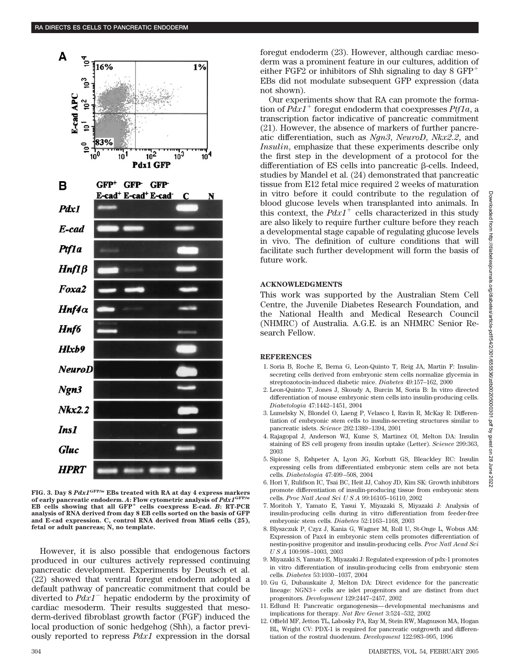

**FIG. 3. Day 8** *Pdx1***GFP/w EBs treated with RA at day 4 express markers of early pancreatic endoderm.** *A***: Flow cytometric analysis of** *Pdx1***GFP/w EB cells showing that all GFP cells coexpress E-cad.** *B***: RT-PCR analysis of RNA derived from day 8 EB cells sorted on the basis of GFP and E-cad expression. C, control RNA derived from Min6 cells (25), fetal or adult pancreas; N, no template.**

However, it is also possible that endogenous factors produced in our cultures actively repressed continuing pancreatic development. Experiments by Deutsch et al. (22) showed that ventral foregut endoderm adopted a default pathway of pancreatic commitment that could be diverted to  $PdxI^{-}$  hepatic endoderm by the proximity of cardiac mesoderm. Their results suggested that mesoderm-derived fibroblast growth factor (FGF) induced the local production of sonic hedgehog (Shh), a factor previously reported to repress *Pdx1* expression in the dorsal

foregut endoderm (23). However, although cardiac mesoderm was a prominent feature in our cultures, addition of either FGF2 or inhibitors of Shh signaling to day  $8$  GFP<sup>+</sup> EBs did not modulate subsequent GFP expression (data not shown).

Our experiments show that RA can promote the formation of  $Pdx1^+$  foregut endoderm that coexpresses  $Ptf1a$ , a transcription factor indicative of pancreatic commitment (21). However, the absence of markers of further pancreatic differentiation, such as *Ngn3*, *NeuroD*, *Nkx2.2*, and *Insulin*, emphasize that these experiments describe only the first step in the development of a protocol for the differentiation of ES cells into pancreatic  $\beta$ -cells. Indeed, studies by Mandel et al. (24) demonstrated that pancreatic tissue from E12 fetal mice required 2 weeks of maturation in vitro before it could contribute to the regulation of blood glucose levels when transplanted into animals. In this context, the  $Pdx1$ <sup>+</sup> cells characterized in this study are also likely to require further culture before they reach a developmental stage capable of regulating glucose levels in vivo. The definition of culture conditions that will facilitate such further development will form the basis of future work.

## **ACKNOWLEDGMENTS**

This work was supported by the Australian Stem Cell Centre, the Juvenile Diabetes Research Foundation, and the National Health and Medical Research Council (NHMRC) of Australia. A.G.E. is an NHMRC Senior Research Fellow.

## **REFERENCES**

- 1. Soria B, Roche E, Berna G, Leon-Quinto T, Reig JA, Martin F: Insulinsecreting cells derived from embryonic stem cells normalize glycemia in streptozotocin-induced diabetic mice. *Diabetes* 49:157–162, 2000
- 2. Leon-Quinto T, Jones J, Skoudy A, Burcin M, Soria B: In vitro directed differentiation of mouse embryonic stem cells into insulin-producing cells. *Diabetologia* 47:1442–1451, 2004
- 3. Lumelsky N, Blondel O, Laeng P, Velasco I, Ravin R, McKay R: Differentiation of embryonic stem cells to insulin-secreting structures similar to pancreatic islets. *Science* 292:1389–1394, 2001
- 4. Rajagopal J, Anderson WJ, Kume S, Martinez OI, Melton DA: Insulin staining of ES cell progeny from insulin uptake (Letter). *Science* 299:363, 2003
- 5. Sipione S, Eshpeter A, Lyon JG, Korbutt GS, Bleackley RC: Insulin expressing cells from differentiated embryonic stem cells are not beta cells. *Diabetologia* 47:499–508, 2004
- 6. Hori Y, Rulifson IC, Tsai BC, Heit JJ, Cahoy JD, Kim SK: Growth inhibitors promote differentiation of insulin-producing tissue from embryonic stem cells. *Proc Natl Acad SciUSA* 99:16105–16110, 2002
- 7. Moritoh Y, Yamato E, Yasui Y, Miyazaki S, Miyazaki J: Analysis of insulin-producing cells during in vitro differentiation from feeder-free embryonic stem cells. *Diabetes* 52:1163–1168, 2003
- 8. Blyszczuk P, Czyz J, Kania G, Wagner M, Roll U, St-Onge L, Wobus AM: Expression of Pax4 in embryonic stem cells promotes differentiation of nestin-positive progenitor and insulin-producing cells. *Proc Natl Acad Sci USA* 100:998–1003, 2003
- 9. Miyazaki S, Yamato E, Miyazaki J: Regulated expression of pdx-1 promotes in vitro differentiation of insulin-producing cells from embryonic stem cells. *Diabetes* 53:1030–1037, 2004
- 10. Gu G, Dubauskaite J, Melton DA: Direct evidence for the pancreatic lineage:  $NGN3+$  cells are islet progenitors and are distinct from duct progenitors. *Development* 129:2447–2457, 2002
- 11. Edlund H: Pancreatic organogenesis—developmental mechanisms and implications for therapy. *Nat Rev Genet* 3:524–532, 2002
- 12. Offield MF, Jetton TL, Labosky PA, Ray M, Stein RW, Magnuson MA, Hogan BL, Wright CV: PDX-1 is required for pancreatic outgrowth and differentiation of the rostral duodenum. *Development* 122:983–995, 1996